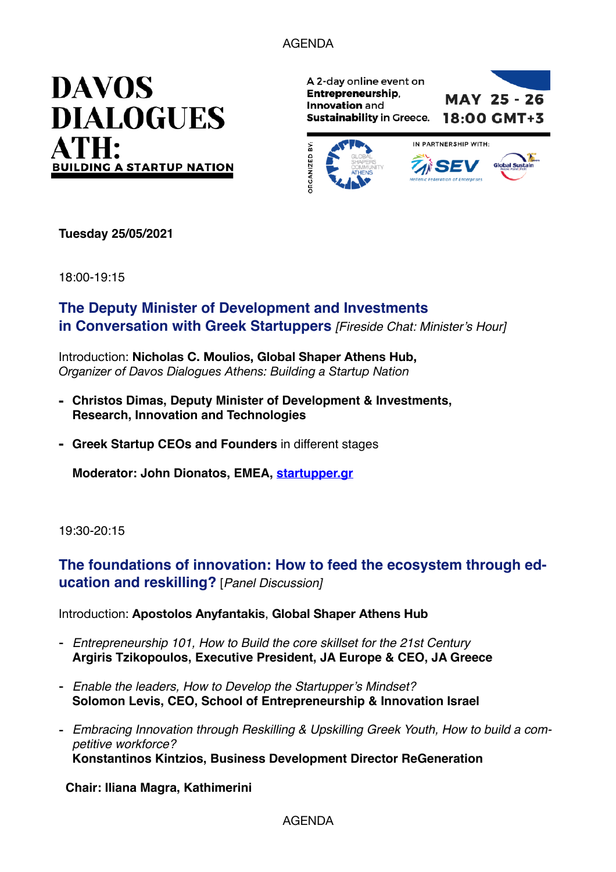### AGENDA



A 2-day online event on Entrepreneurship, **MAY 25 - 26** Innovation and **Sustainability in Greece.** 18:00 GMT+3



**Tuesday 25/05/2021**

18:00-19:15

### **The Deputy Minister of Development and Investments in Conversation with Greek Startuppers** *[Fireside Chat: Minister's Hour]*

Introduction: **Nicholas C. Moulios, Global Shaper Athens Hub,**  *Organizer of Davos Dialogues Athens: Building a Startup Nation* 

- **- Christos Dimas, Deputy Minister of Development & Investments, Research, Innovation and Technologies**
- **- Greek Startup CEOs and Founders** in different stages

**Moderator: John Dionatos, EMEA, [startupper.gr](http://startupper.gr)**

19:30-20:15

## **The foundations of innovation: How to feed the ecosystem through education and reskilling?** [*Panel Discussion]*

#### Introduction: **Apostolos Anyfantakis**, **Global Shaper Athens Hub**

- *Entrepreneurship 101, How to Build the core skillset for the 21st Century* **Argiris Tzikopoulos, Executive President, JA Europe & CEO, JA Greece**
- *Enable the leaders, How to Develop the Startupper's Mindset?* **Solomon Levis, CEO, School of Entrepreneurship & Innovation Israel**
- *Embracing Innovation through Reskilling & Upskilling Greek Youth, How to build a competitive workforce?* **Konstantinos Kintzios, Business Development Director ReGeneration**

**Chair: Iliana Magra, Kathimerini** 

#### AGENDA